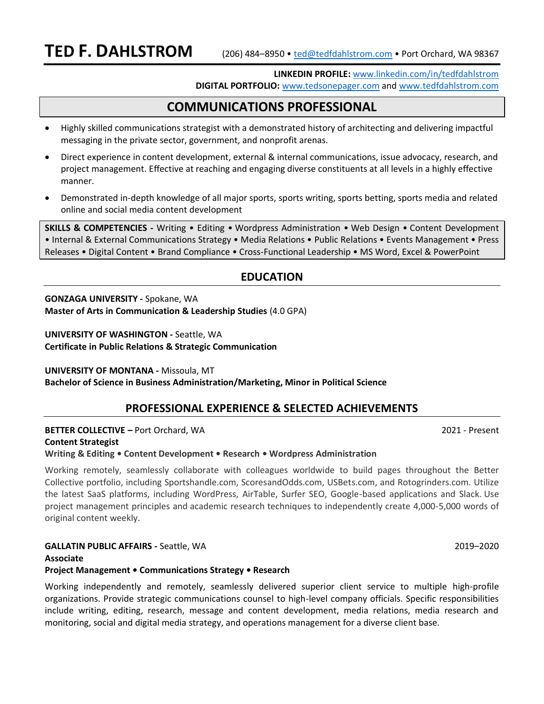**LINKEDIN PROFILE:** [www.linkedin.com/in/tedfdahlstrom](http://www.linkedin.com/in/tedfdahlstrom) **DIGITAL PORTFOLIO:** [www.tedsonepager.com](http://www.tedsonepager.com/) and [www.tedfdahlstrom.com](http://www.tedfdahlstrom.com/professional-writing-samples.html)

# **COMMUNICATIONS PROFESSIONAL**

- Highly skilled communications strategist with a demonstrated history of architecting and delivering impactful messaging in the private sector, government, and nonprofit arenas.
- Direct experience in content development, external & internal communications, issue advocacy, research, and project management. Effective at reaching and engaging diverse constituents at all levels in a highly effective manner.
- Demonstrated in-depth knowledge of all major sports, sports writing, sports betting, sports media and related online and social media content development

**SKILLS & COMPETENCIES -** Writing • Editing • Wordpress Administration • Web Design • Content Development • Internal & External Communications Strategy • Media Relations • Public Relations • Events Management • Press Releases • Digital Content • Brand Compliance • Cross-Functional Leadership • MS Word, Excel & PowerPoint

# **EDUCATION**

**GONZAGA UNIVERSITY -** Spokane, WA **Master of Arts in Communication & Leadership Studies** (4.0 GPA)

**UNIVERSITY OF WASHINGTON -** Seattle, WA **Certificate in Public Relations & Strategic Communication**

**UNIVERSITY OF MONTANA -** Missoula, MT **Bachelor of Science in Business Administration/Marketing, Minor in Political Science** 

# **PROFESSIONAL EXPERIENCE & SELECTED ACHIEVEMENTS**

**BETTER COLLECTIVE –** Port Orchard, WA 2021 - Present

**Content Strategist**

**Writing & Editing • Content Development • Research • Wordpress Administration**

Working remotely, seamlessly collaborate with colleagues worldwide to build pages throughout the Better Collective portfolio, including Sportshandle.com, ScoresandOdds.com, USBets.com, and Rotogrinders.com. Utilize the latest SaaS platforms, including WordPress, AirTable, Surfer SEO, Google-based applications and Slack. Use project management principles and academic research techniques to independently create 4,000-5,000 words of original content weekly.

**GALLATIN PUBLIC AFFAIRS -** Seattle, WA 2019–2020 **Associate Project Management • Communications Strategy • Research**

Working independently and remotely, seamlessly delivered superior client service to multiple high-profile organizations. Provide strategic communications counsel to high-level company officials. Specific responsibilities include writing, editing, research, message and content development, media relations, media research and monitoring, social and digital media strategy, and operations management for a diverse client base.